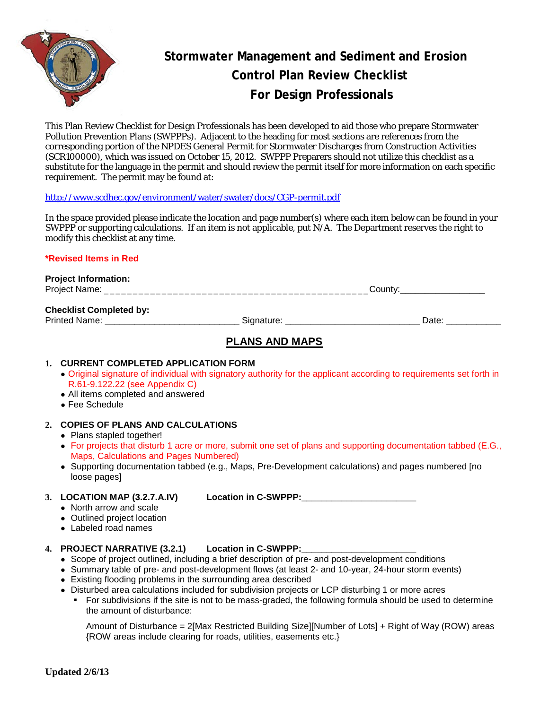

# **Stormwater Management and Sediment and Erosion Control Plan Review Checklist For Design Professionals**

This Plan Review Checklist for Design Professionals has been developed to aid those who prepare Stormwater Pollution Prevention Plans (SWPPPs). Adjacent to the heading for most sections are references from the corresponding portion of the NPDES General Permit for Stormwater Discharges from Construction Activities (SCR100000), which was issued on October 15, 2012. SWPPP Preparers should not utilize this checklist as a substitute for the language in the permit and should review the permit itself for more information on each specific requirement. The permit may be found at:

#### <http://www.scdhec.gov/environment/water/swater/docs/CGP-permit.pdf>

In the space provided please indicate the location and page number(s) where each item below can be found in your SWPPP or supporting calculations. If an item is not applicable, put N/A. The Department reserves the right to modify this checklist at any time.

#### **\*Revised Items in Red**

**Project Information:** Project Name: \_\_\_\_\_\_\_\_\_\_\_\_\_\_\_\_\_\_\_\_\_\_\_\_\_\_\_\_\_\_\_\_\_\_\_\_\_\_\_\_\_\_\_\_\_\_County:\_\_\_\_\_\_\_\_\_\_\_\_\_\_\_\_\_

#### **Checklist Completed by:**

Printed Name: \_\_\_\_\_\_\_\_\_\_\_\_\_\_\_\_\_\_\_\_\_\_\_\_\_\_\_ Signature: \_\_\_\_\_\_\_\_\_\_\_\_\_\_\_\_\_\_\_\_\_\_\_\_\_\_\_ Date: \_\_\_\_\_\_\_\_\_\_\_

## **PLANS AND MAPS**

#### **1. CURRENT COMPLETED APPLICATION FORM**

- Original signature of individual with signatory authority for the applicant according to requirements set forth in R.61-9.122.22 (see Appendix C)
- All items completed and answered
- Fee Schedule

### **2. COPIES OF PLANS AND CALCULATIONS**

- Plans stapled together!
- For projects that disturb 1 acre or more, submit one set of plans and supporting documentation tabbed (E.G., Maps, Calculations and Pages Numbered)
- Supporting documentation tabbed (e.g., Maps, Pre-Development calculations) and pages numbered [no loose pages]

**3. LOCATION MAP (3.2.7.A.IV) Location in C-SWPPP:\_\_\_\_\_\_\_\_\_\_\_\_\_\_\_\_\_\_\_\_\_\_\_**

- North arrow and scale
- Outlined project location
- Labeled road names

## **4. PROJECT NARRATIVE (3.2.1) Location in C-SWPPP:\_\_\_\_\_\_\_\_\_\_\_\_\_\_\_\_\_\_\_\_\_\_\_**

- Scope of project outlined, including a brief description of pre- and post-development conditions
- Summary table of pre- and post-development flows (at least 2- and 10-year, 24-hour storm events)
- Existing flooding problems in the surrounding area described
- Disturbed area calculations included for subdivision projects or LCP disturbing 1 or more acres
	- For subdivisions if the site is not to be mass-graded, the following formula should be used to determine the amount of disturbance:

Amount of Disturbance = 2[Max Restricted Building Size][Number of Lots] + Right of Way (ROW) areas {ROW areas include clearing for roads, utilities, easements etc.}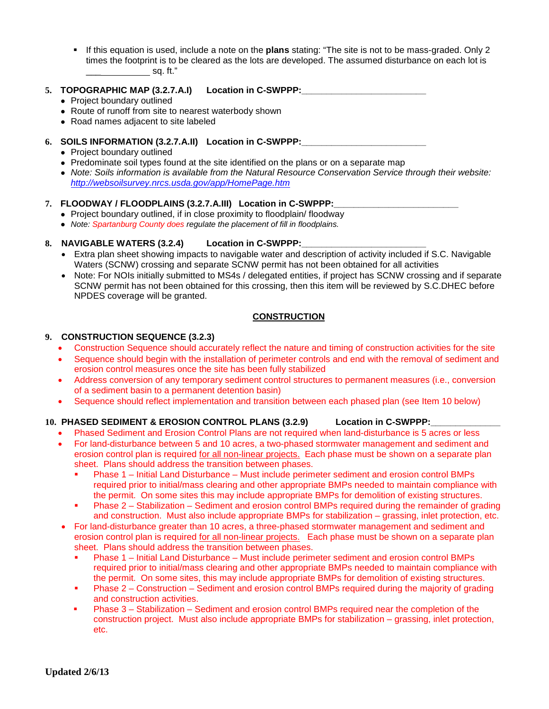If this equation is used, include a note on the **plans** stating: "The site is not to be mass-graded. Only 2 times the footprint is to be cleared as the lots are developed. The assumed disturbance on each lot is  $\sim$  sq. ft."

#### 5. **TOPOGRAPHIC MAP (3.2.7.A.I)** Location in C-SWPPP:

- Project boundary outlined
- Route of runoff from site to nearest waterbody shown
- Road names adjacent to site labeled

#### **6. SOILS INFORMATION (3.2.7.A.II) Location in C-SWPPP:\_\_\_\_\_\_\_\_\_\_\_\_\_\_\_\_\_\_\_\_\_\_\_\_\_**

- Project boundary outlined
- Predominate soil types found at the site identified on the plans or on a separate map
- *Note: Soils information is available from the Natural Resource Conservation Service through their website: [http://websoilsurvey.nrcs.usda.gov/a](http://exit.htm?url=http:/websoilsurvey.nrcs.usda.gov/app/)pp/HomePage.htm*

#### **7. FLOODWAY / FLOODPLAINS (3.2.7.A.III) Location in C-SWPPP:\_\_\_\_\_\_\_\_\_\_\_\_\_\_\_\_\_\_\_\_\_\_\_\_\_**

- Project boundary outlined, if in close proximity to floodplain/floodway
- *Note: Spartanburg County does regulate the placement of fill in floodplains.*

#### **8. NAVIGABLE WATERS (3.2.4) Location in C-SWPPP:\_\_\_\_\_\_\_\_\_\_\_\_\_\_\_\_\_\_\_\_\_\_\_\_\_**

- Extra plan sheet showing impacts to navigable water and description of activity included if S.C. Navigable Waters (SCNW) crossing and separate SCNW permit has not been obtained for all activities
- Note: For NOIs initially submitted to MS4s / delegated entities, if project has SCNW crossing and if separate SCNW permit has not been obtained for this crossing, then this item will be reviewed by S.C.DHEC before NPDES coverage will be granted.

#### **CONSTRUCTION**

#### **9. CONSTRUCTION SEQUENCE (3.2.3)**

- Construction Sequence should accurately reflect the nature and timing of construction activities for the site
- Sequence should begin with the installation of perimeter controls and end with the removal of sediment and erosion control measures once the site has been fully stabilized
- Address conversion of any temporary sediment control structures to permanent measures (i.e., conversion of a sediment basin to a permanent detention basin)
- Sequence should reflect implementation and transition between each phased plan (see Item 10 below)

#### 10. PHASED SEDIMENT & EROSION CONTROL PLANS (3.2.9) Location in C-SWPPP:

- Phased Sediment and Erosion Control Plans are not required when land-disturbance is 5 acres or less
- For land-disturbance between 5 and 10 acres, a two-phased stormwater management and sediment and erosion control plan is required for all non-linear projects. Each phase must be shown on a separate plan sheet. Plans should address the transition between phases.
	- Phase 1 Initial Land Disturbance Must include perimeter sediment and erosion control BMPs required prior to initial/mass clearing and other appropriate BMPs needed to maintain compliance with the permit. On some sites this may include appropriate BMPs for demolition of existing structures.
	- Phase 2 Stabilization Sediment and erosion control BMPs required during the remainder of grading and construction. Must also include appropriate BMPs for stabilization – grassing, inlet protection, etc.
- For land-disturbance greater than 10 acres, a three-phased stormwater management and sediment and erosion control plan is required for all non-linear projects. Each phase must be shown on a separate plan sheet. Plans should address the transition between phases.
	- Phase 1 Initial Land Disturbance Must include perimeter sediment and erosion control BMPs required prior to initial/mass clearing and other appropriate BMPs needed to maintain compliance with the permit. On some sites, this may include appropriate BMPs for demolition of existing structures.
	- Phase 2 Construction Sediment and erosion control BMPs required during the majority of grading and construction activities.
	- Phase 3 Stabilization Sediment and erosion control BMPs required near the completion of the construction project. Must also include appropriate BMPs for stabilization – grassing, inlet protection, etc.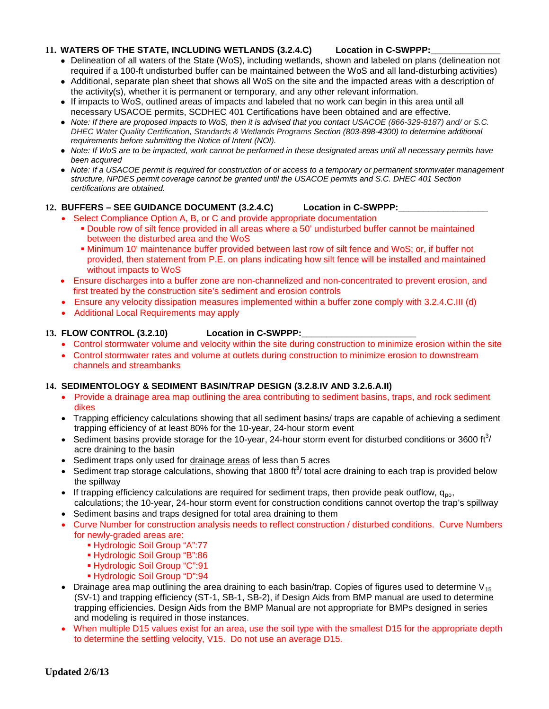#### 11. WATERS OF THE STATE, INCLUDING WETLANDS (3.2.4.C) Location in C-SWPPP:

- Delineation of all waters of the State (WoS), including wetlands, shown and labeled on plans (delineation not required if a 100-ft undisturbed buffer can be maintained between the WoS and all land-disturbing activities)
- Additional, separate plan sheet that shows all WoS on the site and the impacted areas with a description of the activity(s), whether it is permanent or temporary, and any other relevant information.
- If impacts to WoS, outlined areas of impacts and labeled that no work can begin in this area until all necessary USACOE permits, SCDHEC 401 Certifications have been obtained and are effective.
- *Note: If there are proposed impacts to WoS, then it is advised that you contact USACOE (866-329-8187) and/ or S.C. DHEC Water Quality Certification, Standards & Wetlands Programs Section (803-898-4300) to determine additional requirements before submitting the Notice of Intent (NOI).*
- *Note: If WoS are to be impacted, work cannot be performed in these designated areas until all necessary permits have been acquired*
- *Note: If a USACOE permit is required for construction of or access to a temporary or permanent stormwater management structure, NPDES permit coverage cannot be granted until the USACOE permits and S.C. DHEC 401 Section certifications are obtained.*

#### **12. BUFFERS – SEE GUIDANCE DOCUMENT (3.2.4.C) Location in C-SWPPP:\_\_\_\_\_\_\_\_\_\_\_\_\_\_\_\_\_\_**

- Select Compliance Option A, B, or C and provide appropriate documentation Double row of silt fence provided in all areas where a 50' undisturbed buffer cannot be maintained between the disturbed area and the WoS
	- Minimum 10' maintenance buffer provided between last row of silt fence and WoS; or, if buffer not provided, then statement from P.E. on plans indicating how silt fence will be installed and maintained without impacts to WoS
- Ensure discharges into a buffer zone are non-channelized and non-concentrated to prevent erosion, and first treated by the construction site's sediment and erosion controls
- Ensure any velocity dissipation measures implemented within a buffer zone comply with 3.2.4.C.III (d)
- Additional Local Requirements may apply

#### **13. FLOW CONTROL (3.2.10) Location in C-SWPPP:\_\_\_\_\_\_\_\_\_\_\_\_\_\_\_\_\_\_\_\_\_\_\_**

- Control stormwater volume and velocity within the site during construction to minimize erosion within the site
- Control stormwater rates and volume at outlets during construction to minimize erosion to downstream channels and streambanks

#### **14. SEDIMENTOLOGY & SEDIMENT BASIN/TRAP DESIGN (3.2.8.IV AND 3.2.6.A.II)**

- Provide a drainage area map outlining the area contributing to sediment basins, traps, and rock sediment dikes
- Trapping efficiency calculations showing that all sediment basins/ traps are capable of achieving a sediment trapping efficiency of at least 80% for the 10-year, 24-hour storm event
- Sediment basins provide storage for the 10-year, 24-hour storm event for disturbed conditions or 3600 ft<sup>3</sup>/ acre draining to the basin
- Sediment traps only used for drainage areas of less than 5 acres
- Sediment trap storage calculations, showing that 1800 ft<sup>3</sup>/ total acre draining to each trap is provided below the spillway
- If trapping efficiency calculations are required for sediment traps, then provide peak outflow,  $q_{\text{no}}$ , calculations; the 10-year, 24-hour storm event for construction conditions cannot overtop the trap's spillway
- Sediment basins and traps designed for total area draining to them
- Curve Number for construction analysis needs to reflect construction / disturbed conditions. Curve Numbers for newly-graded areas are:
	- Hydrologic Soil Group "A":77
	- Hydrologic Soil Group "B":86
	- Hydrologic Soil Group "C":91
	- Hydrologic Soil Group "D":94
- Drainage area map outlining the area draining to each basin/trap. Copies of figures used to determine  $V_{15}$ (SV-1) and trapping efficiency (ST-1, SB-1, SB-2), if Design Aids from BMP manual are used to determine trapping efficiencies. Design Aids from the BMP Manual are not appropriate for BMPs designed in series and modeling is required in those instances.
- When multiple D15 values exist for an area, use the soil type with the smallest D15 for the appropriate depth to determine the settling velocity, V15. Do not use an average D15.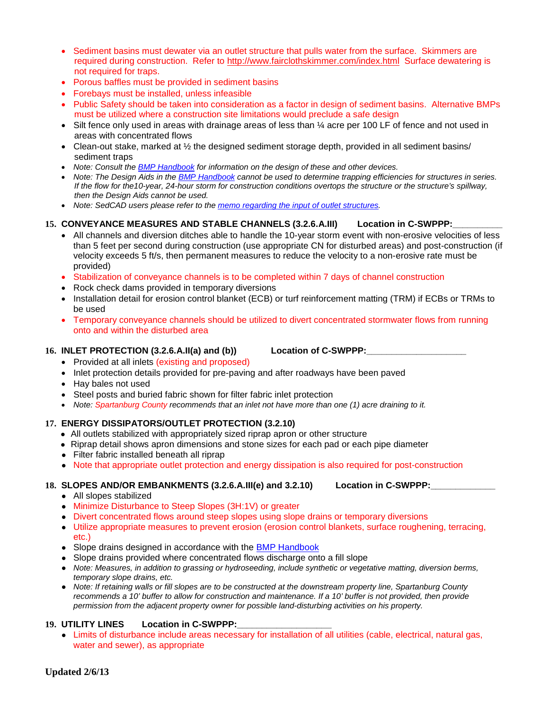- Sediment basins must dewater via an outlet structure that pulls water from the surface. Skimmers are required during construction. Refer to<http://www.fairclothskimmer.com/index.html>Surface dewatering is not required for traps.
- Porous baffles must be provided in sediment basins
- Forebays must be installed, unless infeasible
- Public Safety should be taken into consideration as a factor in design of sediment basins. Alternative BMPs must be utilized where a construction site limitations would preclude a safe design
- Silt fence only used in areas with drainage areas of less than  $\frac{1}{4}$  acre per 100 LF of fence and not used in areas with concentrated flows
- Clean-out stake, marked at 1/2 the designed sediment storage depth, provided in all sediment basins/ sediment traps
- *Note: Consult th[e](http://www.scdhec.com/environment/ocrm/pubs/tech_docs_water.htm) [BMP](http://www.scdhec.com/environment/ocrm/pubs/tech_docs_water.htm) [Handbook](http://www.scdhec.com/environment/ocrm/pubs/tech_docs_water.htm) for information on the design of these and other devices.*
- *Note: The Design Aids in the [BMP](http://www.scdhec.com/environment/ocrm/pubs/tech_docs_water.htm) [Handbook](http://www.scdhec.com/environment/ocrm/pubs/tech_docs_water.htm) cannot be used to determine trapping efficiencies for structures in series. If the flow for the10-year, 24-hour storm for construction conditions overtops the structure or the structure's spillway, then the Design Aids cannot be used.*
- *Note: SedCAD users please refer to the [memo](http://www.scdhec.gov/eqc/water/pubs/SedCad3.pdf) [regarding](http://www.scdhec.gov/eqc/water/pubs/SedCad3.pdf) [the](http://www.scdhec.gov/eqc/water/pubs/SedCad3.pdf) [input](http://www.scdhec.gov/eqc/water/pubs/SedCad3.pdf) [of](http://www.scdhec.gov/eqc/water/pubs/SedCad3.pdf) [outlet](http://www.scdhec.gov/eqc/water/pubs/SedCad3.pdf) [structures.](http://www.scdhec.gov/eqc/water/pubs/SedCad3.pdf)*

#### **15. CONVEYANCE MEASURES AND STABLE CHANNELS (3.2.6.A.III) Location in C-SWPPP:\_\_\_\_\_\_\_\_\_\_**

- All channels and diversion ditches able to handle the 10-year storm event with non-erosive velocities of less than 5 feet per second during construction (use appropriate CN for disturbed areas) and post-construction (if velocity exceeds 5 ft/s, then permanent measures to reduce the velocity to a non-erosive rate must be provided)
- Stabilization of conveyance channels is to be completed within 7 days of channel construction
- Rock check dams provided in temporary diversions
- Installation detail for erosion control blanket (ECB) or turf reinforcement matting (TRM) if ECBs or TRMs to be used
- Temporary conveyance channels should be utilized to divert concentrated stormwater flows from running onto and within the disturbed area

#### **16. INLET PROTECTION (3.2.6.A.II(a) and (b)) Location of C-SWPPP:\_\_\_\_\_\_\_\_\_\_\_\_\_\_\_\_\_\_\_\_**

- Provided at all inlets (existing and proposed)
- Inlet protection details provided for pre-paving and after roadways have been paved
- Hay bales not used
- Steel posts and buried fabric shown for filter fabric inlet protection
- *Note: Spartanburg County recommends that an inlet not have more than one (1) acre draining to it.*

#### **17. ENERGY DISSIPATORS/OUTLET PROTECTION (3.2.10)**

- All outlets stabilized with appropriately sized riprap apron or other structure
- Riprap detail shows apron dimensions and stone sizes for each pad or each pipe diameter
- Filter fabric installed beneath all riprap
- Note that appropriate outlet protection and energy dissipation is also required for post-construction

## **18. SLOPES AND/OR EMBANKMENTS (3.2.6.A.III(e) and 3.2.10) Location in C-SWPPP:\_\_\_\_\_\_\_\_\_\_\_\_\_**

- All slopes stabilized
- Minimize Disturbance to Steep Slopes (3H:1V) or greater
- Divert concentrated flows around steep slopes using slope drains or temporary diversions
- Utilize appropriate measures to prevent erosion (erosion control blankets, surface roughening, terracing, etc.)
- Slop[e](http://www.scdhec.com/environment/ocrm/pubs/tech_docs_water.htm) drains designed in accordance with the [BMP](http://www.scdhec.com/environment/ocrm/pubs/tech_docs_water.htm) [Handbook](http://www.scdhec.com/environment/ocrm/pubs/tech_docs_water.htm)
- Slope drains provided where concentrated flows discharge onto a fill slope
- *Note: Measures, in addition to grassing or hydroseeding, include synthetic or vegetative matting, diversion berms, temporary slope drains, etc.*
- *Note: If retaining walls or fill slopes are to be constructed at the downstream property line, Spartanburg County recommends a 10' buffer to allow for construction and maintenance. If a 10' buffer is not provided, then provide permission from the adjacent property owner for possible land-disturbing activities on his property.*

#### 19. UTILITY LINES Location in C-SWPPP:

● Limits of disturbance include areas necessary for installation of all utilities (cable, electrical, natural gas, water and sewer), as appropriate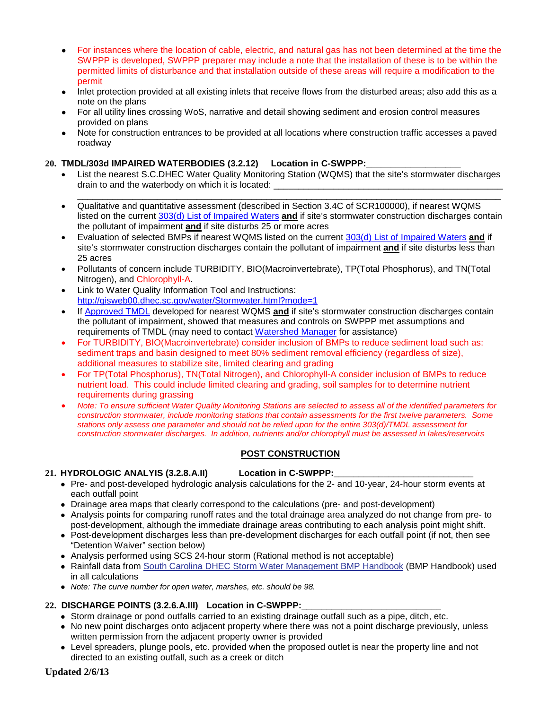- For instances where the location of cable, electric, and natural gas has not been determined at the time the SWPPP is developed, SWPPP preparer may include a note that the installation of these is to be within the permitted limits of disturbance and that installation outside of these areas will require a modification to the permit
- Inlet protection provided at all existing inlets that receive flows from the disturbed areas; also add this as a note on the plans
- For all utility lines crossing WoS, narrative and detail showing sediment and erosion control measures provided on plans
- Note for construction entrances to be provided at all locations where construction traffic accesses a paved roadway

#### 20. **TMDL/303d IMPAIRED WATERBODIES (3.2.12)** Location in C-SWPPP:

- List the nearest S.C.DHEC Water Quality Monitoring Station (WQMS) that the site's stormwater discharges drain to and the waterbody on which it is located:
- \_\_\_\_\_\_\_\_\_\_\_\_\_\_\_\_\_\_\_\_\_\_\_\_\_\_\_\_\_\_\_\_\_\_\_\_\_\_\_\_\_\_\_\_\_\_\_\_\_\_\_\_\_\_\_\_\_\_\_\_\_\_\_\_\_\_\_\_\_\_\_\_\_\_\_\_\_\_\_\_\_\_\_\_\_ • Qualitative and quantitative assessment (described in Section 3.4C of SCR100000), if nearest WQMS listed on the current [303\(d\) List](http://www.scdhec.gov/eqc/water/pubs/303d2004.pdf) [of](http://www.scdhec.gov/eqc/water/pubs/303d2004.pdf) [Impaired](http://www.scdhec.gov/eqc/water/pubs/303d2004.pdf) [Waters](http://www.scdhec.gov/eqc/water/pubs/303d2004.pdf) **and** if site's stormwater construction discharges contain the pollutant of impairment **and** if site disturbs 25 or more acres
- Evaluation of selected BMPs if nearest WQMS listed on the current [303\(d\) List](http://www.scdhec.gov/eqc/water/pubs/303d2004.pdf) [of](http://www.scdhec.gov/eqc/water/pubs/303d2004.pdf) [Impaired](http://www.scdhec.gov/eqc/water/pubs/303d2004.pdf) [Waters](http://www.scdhec.gov/eqc/water/pubs/303d2004.pdf) **and** if site's stormwater construction discharges contain the pollutant of impairment **and** if site disturbs less than 25 acres
- Pollutants of concern include TURBIDITY, BIO(Macroinvertebrate), TP(Total Phosphorus), and TN(Total Nitrogen), and Chlorophyll-A.
- Link to Water Quality Information Tool and Instructions: <http://gisweb00.dhec.sc.gov/water/Stormwater.html?mode=1>
- If [Approved](http://www.scdhec.gov/eqc/water/tmdl/tmdlsc.html) [TMDL](http://www.scdhec.gov/eqc/water/tmdl/tmdlsc.html) developed for nearest WQMS **and** if site's stormwater construction discharges contain the pollutant of impairment, showed that measures and controls on SWPPP met assumptions and requirements of TMDL (may need to contact [Watershed](http://www.scdhec.gov/eqc/water/shed/contact.html) [Manager](http://www.scdhec.gov/eqc/water/shed/contact.html) for assistance)
- For TURBIDITY, BIO(Macroinvertebrate) consider inclusion of BMPs to reduce sediment load such as: sediment traps and basin designed to meet 80% sediment removal efficiency (regardless of size), additional measures to stabilize site, limited clearing and grading
- For TP(Total Phosphorus), TN(Total Nitrogen), and Chlorophyll-A consider inclusion of BMPs to reduce nutrient load. This could include limited clearing and grading, soil samples for to determine nutrient requirements during grassing
- *Note: To ensure sufficient Water Quality Monitoring Stations are selected to assess all of the identified parameters for construction stormwater, include monitoring stations that contain assessments for the first twelve parameters. Some stations only assess one parameter and should not be relied upon for the entire 303(d)/TMDL assessment for construction stormwater discharges. In addition, nutrients and/or chlorophyll must be assessed in lakes/reservoirs*

#### **POST CONSTRUCTION**

#### **21. HYDROLOGIC ANALYIS (3.2.8.A.II) Location in C-SWPPP:\_\_\_\_\_\_\_\_\_\_\_\_\_\_\_\_\_\_\_\_\_\_\_\_\_\_\_\_**

- Pre- and post-developed hydrologic analysis calculations for the 2- and 10-year, 24-hour storm events at each outfall point
- Drainage area maps that clearly correspond to the calculations (pre- and post-development)
- Analysis points for comparing runoff rates and the total drainage area analyzed do not change from pre- to post-development, although the immediate drainage areas contributing to each analysis point might shift.
- Post-development discharges less than pre-development discharges for each outfall point (if not, then see "Detention Waiver" section below)
- Analysis performed using SCS 24-hour storm (Rational method is not acceptable)
- Rainfall data from [South](http://www.scdhec.com/environment/ocrm/pubs/tech_docs_water.htm) [Carolina](http://www.scdhec.com/environment/ocrm/pubs/tech_docs_water.htm) [DHEC](http://www.scdhec.com/environment/ocrm/pubs/tech_docs_water.htm) [Storm](http://www.scdhec.com/environment/ocrm/pubs/tech_docs_water.htm) [Water](http://www.scdhec.com/environment/ocrm/pubs/tech_docs_water.htm) [Management](http://www.scdhec.com/environment/ocrm/pubs/tech_docs_water.htm) [BMP](http://www.scdhec.com/environment/ocrm/pubs/tech_docs_water.htm) [Handbook](http://www.scdhec.com/environment/ocrm/pubs/tech_docs_water.htm) (BMP Handbook) used in all calculations
- *Note: The curve number for open water, marshes, etc. should be 98.*

### 22. DISCHARGE POINTS (3.2.6.A.III) Location in C-SWPPP:

- Storm drainage or pond outfalls carried to an existing drainage outfall such as a pipe, ditch, etc.
- No new point discharges onto adjacent property where there was not a point discharge previously, unless written permission from the adjacent property owner is provided
- Level spreaders, plunge pools, etc. provided when the proposed outlet is near the property line and not directed to an existing outfall, such as a creek or ditch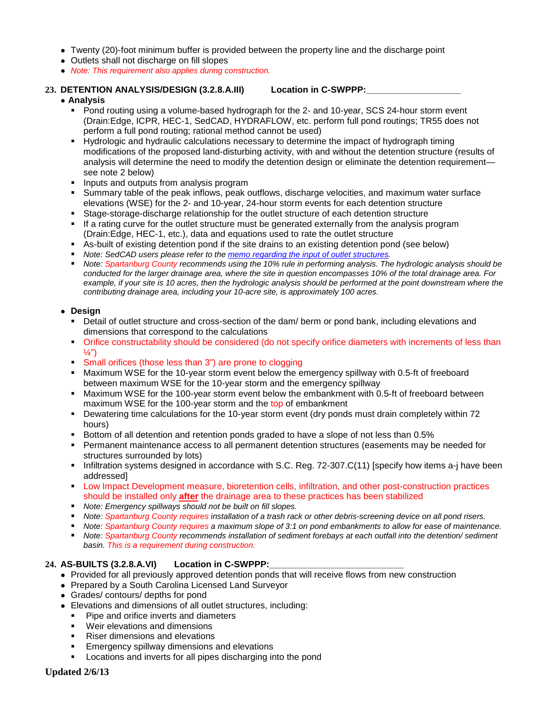- Twenty (20)-foot minimum buffer is provided between the property line and the discharge point
- Outlets shall not discharge on fill slopes
- *Note: This requirement also applies during construction.*
- 23. **DETENTION ANALYSIS/DESIGN (3.2.8.A.III)** Location in C-SWPPP:

#### ● **Analysis**

- Pond routing using a volume-based hydrograph for the 2- and 10-year, SCS 24-hour storm event (Drain:Edge, ICPR, HEC-1, SedCAD, HYDRAFLOW, etc. perform full pond routings; TR55 does not perform a full pond routing; rational method cannot be used)
- Hydrologic and hydraulic calculations necessary to determine the impact of hydrograph timing modifications of the proposed land-disturbing activity, with and without the detention structure (results of analysis will determine the need to modify the detention design or eliminate the detention requirement see note 2 below)
- **Inputs and outputs from analysis program**
- Summary table of the peak inflows, peak outflows, discharge velocities, and maximum water surface elevations (WSE) for the 2- and 10-year, 24-hour storm events for each detention structure
- Stage-storage-discharge relationship for the outlet structure of each detention structure
- If a rating curve for the outlet structure must be generated externally from the analysis program (Drain:Edge, HEC-1, etc.), data and equations used to rate the outlet structure
- As-built of existing detention pond if the site drains to an existing detention pond (see below)
- *Note: SedCAD users please refer to the [memo](http://www.scdhec.gov/eqc/water/pubs/SedCad3.pdf) [regarding](http://www.scdhec.gov/eqc/water/pubs/SedCad3.pdf) [the](http://www.scdhec.gov/eqc/water/pubs/SedCad3.pdf) [input](http://www.scdhec.gov/eqc/water/pubs/SedCad3.pdf) [of](http://www.scdhec.gov/eqc/water/pubs/SedCad3.pdf) [outlet](http://www.scdhec.gov/eqc/water/pubs/SedCad3.pdf) [structures.](http://www.scdhec.gov/eqc/water/pubs/SedCad3.pdf)*
- *Note: Spartanburg County recommends using the 10% rule in performing analysis. The hydrologic analysis should be conducted for the larger drainage area, where the site in question encompasses 10% of the total drainage area. For*  example, if your site is 10 acres, then the hydrologic analysis should be performed at the point downstream where the *contributing drainage area, including your 10-acre site, is approximately 100 acres.*

#### ● **Design**

- Detail of outlet structure and cross-section of the dam/ berm or pond bank, including elevations and dimensions that correspond to the calculations
- Orifice constructability should be considered (do not specify orifice diameters with increments of less than  $\frac{1}{4}$ ")
- Small orifices (those less than 3") are prone to clogging
- Maximum WSE for the 10-year storm event below the emergency spillway with 0.5-ft of freeboard between maximum WSE for the 10-year storm and the emergency spillway
- **Maximum WSE for the 100-year storm event below the embankment with 0.5-ft of freeboard between** maximum WSE for the 100-year storm and the top of embankment
- Dewatering time calculations for the 10-year storm event (dry ponds must drain completely within 72 hours)
- Bottom of all detention and retention ponds graded to have a slope of not less than 0.5%
- Permanent maintenance access to all permanent detention structures (easements may be needed for structures surrounded by lots)
- Infiltration systems designed in accordance with S.C. Reg. 72-307.C(11) [specify how items a-j have been addressed]
- Low Impact Development measure, bioretention cells, infiltration, and other post-construction practices should be installed only **after** the drainage area to these practices has been stabilized
- *Note: Emergency spillways should not be built on fill slopes.*
- *Note: Spartanburg County requires installation of a trash rack or other debris-screening device on all pond risers.*
- *Note: Spartanburg County requires a maximum slope of 3:1 on pond embankments to allow for ease of maintenance.*
- *Note: Spartanburg County recommends installation of sediment forebays at each outfall into the detention/ sediment basin. This is a requirement during construction.*

### **24. AS-BUILTS (3.2.8.A.VI) Location in C-SWPPP:\_\_\_\_\_\_\_\_\_\_\_\_\_\_\_\_\_\_\_\_\_\_\_\_\_\_\_**

- Provided for all previously approved detention ponds that will receive flows from new construction
- Prepared by a South Carolina Licensed Land Surveyor
- Grades/ contours/ depths for pond
- Elevations and dimensions of all outlet structures, including:
	- **Pipe and orifice inverts and diameters**
	- Weir elevations and dimensions
	- Riser dimensions and elevations
	- Emergency spillway dimensions and elevations
	- Locations and inverts for all pipes discharging into the pond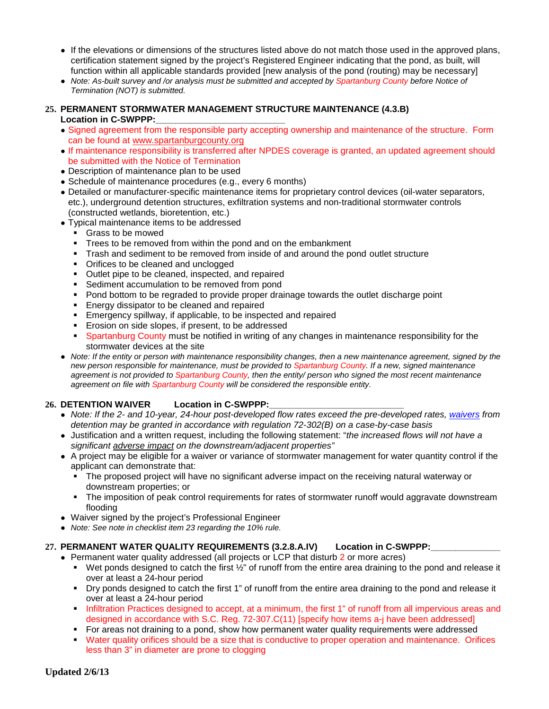- If the elevations or dimensions of the structures listed above do not match those used in the approved plans, certification statement signed by the project's Registered Engineer indicating that the pond, as built, will function within all applicable standards provided [new analysis of the pond (routing) may be necessary]
- *Note: As-built survey and /or analysis must be submitted and accepted by Spartanburg County before Notice of Termination (NOT) is submitted.*

#### **25. PERMANENT STORMWATER MANAGEMENT STRUCTURE MAINTENANCE (4.3.B)** Location in C-SWPPP:

- Signed agreement from the responsible party accepting ownership and maintenance of the structure. Form can be found at [www.spartanburgcounty.org](http://www.spartanburgcounty.org/)
- If maintenance responsibility is transferred after NPDES coverage is granted, an updated agreement should be submitted with the Notice of Termination
- Description of maintenance plan to be used
- Schedule of maintenance procedures (e.g., every 6 months)
- Detailed or manufacturer-specific maintenance items for proprietary control devices (oil-water separators, etc.), underground detention structures, exfiltration systems and non-traditional stormwater controls (constructed wetlands, bioretention, etc.)
- Typical maintenance items to be addressed
	- Grass to be mowed
	- **Trees to be removed from within the pond and on the embankment**
	- Trash and sediment to be removed from inside of and around the pond outlet structure
	- Orifices to be cleaned and unclogged
	- **Dutlet pipe to be cleaned, inspected, and repaired**
	- **Sediment accumulation to be removed from pond**
	- Pond bottom to be regraded to provide proper drainage towards the outlet discharge point
	- **Energy dissipator to be cleaned and repaired**
	- **Emergency spillway, if applicable, to be inspected and repaired**
	- **Erosion on side slopes, if present, to be addressed**
	- Spartanburg County must be notified in writing of any changes in maintenance responsibility for the stormwater devices at the site
- *Note: If the entity or person with maintenance responsibility changes, then a new maintenance agreement, signed by the new person responsible for maintenance, must be provided to Spartanburg County. If a new, signed maintenance agreement is not provided to Spartanburg County, then the entity/ person who signed the most recent maintenance agreement on file with Spartanburg County will be considered the responsible entity.*

#### 26. **DETENTION WAIVER** Location in C-SWPPP:

- *Note: If the 2- and 10-year, 24-hour post-developed flow rates exceed the pre-developed rates, [waivers](http://www.scdhec.gov/water/html/erfdefin.html#waiver) from detention may be granted in accordance with regulation 72-302(B) on a case-by-case basis*
- Justification and a written request, including the following statement: "*the increased flows will not have a significant [adverse](http://www.scdhec.gov/water/html/erfdefin.html#advimp) [impact](http://www.scdhec.gov/water/html/erfdefin.html#advimp) on the downstream/adjacent properties"*
- A project may be eligible for a waiver or variance of stormwater management for water quantity control if the applicant can demonstrate that:
	- The proposed project will have no significant adverse impact on the receiving natural waterway or downstream properties; or
	- The imposition of peak control requirements for rates of stormwater runoff would aggravate downstream flooding
- Waiver signed by the project's Professional Engineer
- *Note: See note in checklist item 23 regarding the 10% rule.*

#### **27. PERMANENT WATER QUALITY REQUIREMENTS (3.2.8.A.IV) Location in C-SWPPP:\_\_\_\_\_\_\_\_\_\_\_\_\_\_**

- Permanent water quality addressed (all projects or LCP that disturb 2 or more acres)
	- Wet ponds designed to catch the first  $\frac{1}{2}$ " of runoff from the entire area draining to the pond and release it over at least a 24-hour period
	- Dry ponds designed to catch the first 1" of runoff from the entire area draining to the pond and release it over at least a 24-hour period
	- Infiltration Practices designed to accept, at a minimum, the first 1" of runoff from all impervious areas and designed in accordance with S.C. Reg. 72-307.C(11) [specify how items a-j have been addressed]
	- For areas not draining to a pond, show how permanent water quality requirements were addressed
	- Water quality orifices should be a size that is conductive to proper operation and maintenance. Orifices less than 3" in diameter are prone to clogging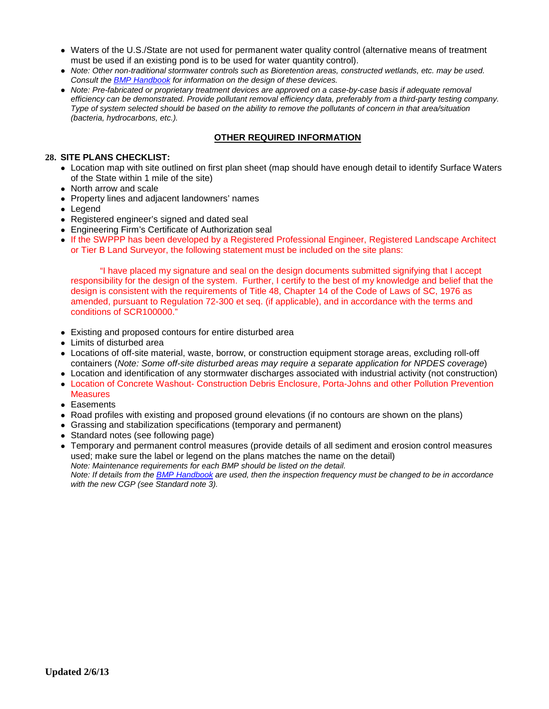- Waters of the U.S./State are not used for permanent water quality control (alternative means of treatment must be used if an existing pond is to be used for water quantity control).
- *Note: Other non-traditional stormwater controls such as Bioretention areas, constructed wetlands, etc. may be used. Consult the [BMP](http://www.scdhec.com/environment/ocrm/pubs/tech_docs_water.htm) [Handbook](http://www.scdhec.com/environment/ocrm/pubs/tech_docs_water.htm) for information on the design of these devices.*
- *Note: Pre-fabricated or proprietary treatment devices are approved on a case-by-case basis if adequate removal efficiency can be demonstrated. Provide pollutant removal efficiency data, preferably from a third-party testing company. Type of system selected should be based on the ability to remove the pollutants of concern in that area/situation (bacteria, hydrocarbons, etc.).*

#### **OTHER REQUIRED INFORMATION**

#### **28. SITE PLANS CHECKLIST:**

- Location map with site outlined on first plan sheet (map should have enough detail to identify Surface Waters of the State within 1 mile of the site)
- North arrow and scale
- Property lines and adjacent landowners' names
- Legend
- Registered engineer's signed and dated seal
- Engineering Firm's Certificate of Authorization seal
- If the SWPPP has been developed by a Registered Professional Engineer, Registered Landscape Architect or Tier B Land Surveyor, the following statement must be included on the site plans:

"I have placed my signature and seal on the design documents submitted signifying that I accept responsibility for the design of the system. Further, I certify to the best of my knowledge and belief that the design is consistent with the requirements of Title 48, Chapter 14 of the Code of Laws of SC, 1976 as amended, pursuant to Regulation 72-300 et seq. (if applicable), and in accordance with the terms and conditions of SCR100000."

- Existing and proposed contours for entire disturbed area
- Limits of disturbed area
- Locations of off-site material, waste, borrow, or construction equipment storage areas, excluding roll-off containers (*Note: Some off-site disturbed areas may require a separate application for NPDES coverage*)
- Location and identification of any stormwater discharges associated with industrial activity (not construction)
- Location of Concrete Washout- Construction Debris Enclosure, Porta-Johns and other Pollution Prevention **Measures**
- Easements
- Road profiles with existing and proposed ground elevations (if no contours are shown on the plans)
- Grassing and stabilization specifications (temporary and permanent)
- Standard notes (see following page)
- Temporary and permanent control measures (provide details of all sediment and erosion control measures used; make sure the label or legend on the plans matches the name on the detail) *Note: Maintenance requirements for each BMP should be listed on the detail. Note: If details from the [BMP](http://www.scdhec.com/environment/ocrm/pubs/tech_docs_water.htm) [Handbook](http://www.scdhec.com/environment/ocrm/pubs/tech_docs_water.htm) are used, then the inspection frequency must be changed to be in accordance with the new CGP (see Standard note 3).*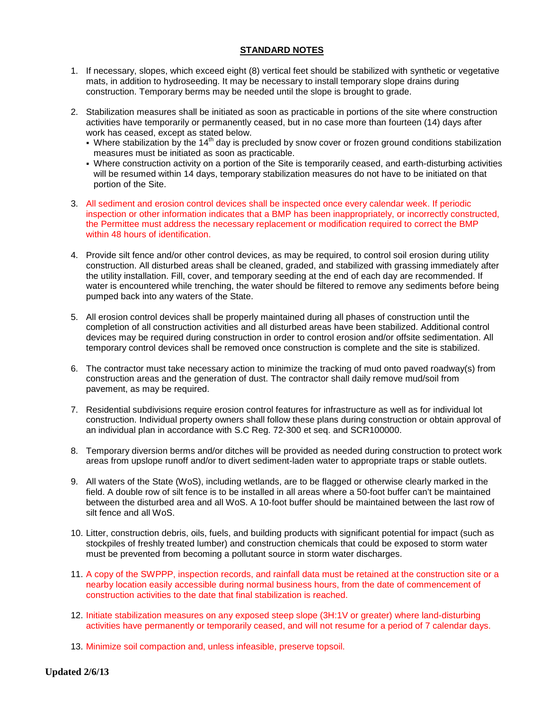#### **STANDARD NOTES**

- 1. If necessary, slopes, which exceed eight (8) vertical feet should be stabilized with synthetic or vegetative mats, in addition to hydroseeding. It may be necessary to install temporary slope drains during construction. Temporary berms may be needed until the slope is brought to grade.
- 2. Stabilization measures shall be initiated as soon as practicable in portions of the site where construction activities have temporarily or permanently ceased, but in no case more than fourteen (14) days after work has ceased, except as stated below.
	- Where stabilization by the 14<sup>th</sup> day is precluded by snow cover or frozen ground conditions stabilization measures must be initiated as soon as practicable.
	- Where construction activity on a portion of the Site is temporarily ceased, and earth-disturbing activities will be resumed within 14 days, temporary stabilization measures do not have to be initiated on that portion of the Site.
- 3. All sediment and erosion control devices shall be inspected once every calendar week. If periodic inspection or other information indicates that a BMP has been inappropriately, or incorrectly constructed, the Permittee must address the necessary replacement or modification required to correct the BMP within 48 hours of identification.
- 4. Provide silt fence and/or other control devices, as may be required, to control soil erosion during utility construction. All disturbed areas shall be cleaned, graded, and stabilized with grassing immediately after the utility installation. Fill, cover, and temporary seeding at the end of each day are recommended. If water is encountered while trenching, the water should be filtered to remove any sediments before being pumped back into any waters of the State.
- 5. All erosion control devices shall be properly maintained during all phases of construction until the completion of all construction activities and all disturbed areas have been stabilized. Additional control devices may be required during construction in order to control erosion and/or offsite sedimentation. All temporary control devices shall be removed once construction is complete and the site is stabilized.
- 6. The contractor must take necessary action to minimize the tracking of mud onto paved roadway(s) from construction areas and the generation of dust. The contractor shall daily remove mud/soil from pavement, as may be required.
- 7. Residential subdivisions require erosion control features for infrastructure as well as for individual lot construction. Individual property owners shall follow these plans during construction or obtain approval of an individual plan in accordance with S.C Reg. 72-300 et seq. and SCR100000.
- 8. Temporary diversion berms and/or ditches will be provided as needed during construction to protect work areas from upslope runoff and/or to divert sediment-laden water to appropriate traps or stable outlets.
- 9. All waters of the State (WoS), including wetlands, are to be flagged or otherwise clearly marked in the field. A double row of silt fence is to be installed in all areas where a 50-foot buffer can't be maintained between the disturbed area and all WoS. A 10-foot buffer should be maintained between the last row of silt fence and all WoS.
- 10. Litter, construction debris, oils, fuels, and building products with significant potential for impact (such as stockpiles of freshly treated lumber) and construction chemicals that could be exposed to storm water must be prevented from becoming a pollutant source in storm water discharges.
- 11. A copy of the SWPPP, inspection records, and rainfall data must be retained at the construction site or a nearby location easily accessible during normal business hours, from the date of commencement of construction activities to the date that final stabilization is reached.
- 12. Initiate stabilization measures on any exposed steep slope (3H:1V or greater) where land-disturbing activities have permanently or temporarily ceased, and will not resume for a period of 7 calendar days.
- 13. Minimize soil compaction and, unless infeasible, preserve topsoil.